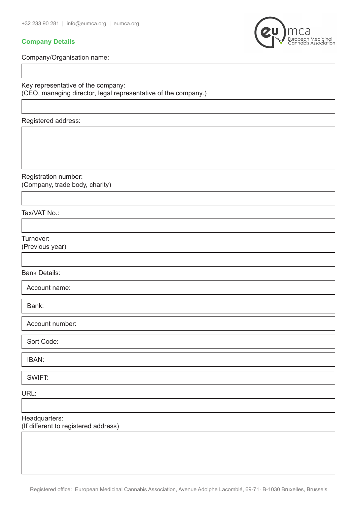## **Company Details**

European Medicinal<br>Cannabis Association

Company/Organisation name:

Key representative of the company: (CEO, managing director, legal representative of the company.)

Registered address:

Registration number: (Company, trade body, charity)

Tax/VAT No.:

Turnover:

(Previous year)

Bank Details:

Account name:

Bank:

Account number:

Sort Code:

IBAN:

SWIFT:

URL:

Headquarters: (If different to registered address)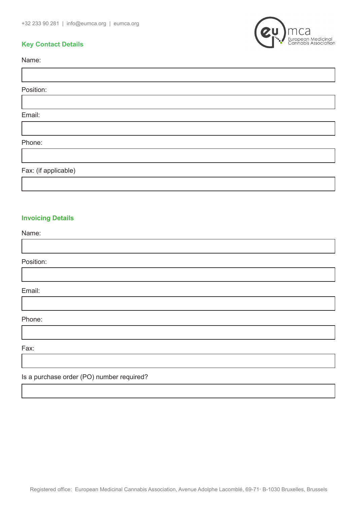



Name:

Position:

Email:

Phone:

Fax: (if applicable)

## **Invoicing Details**

Name:

Position:

Email:

Phone:

Fax:

Is a purchase order (PO) number required?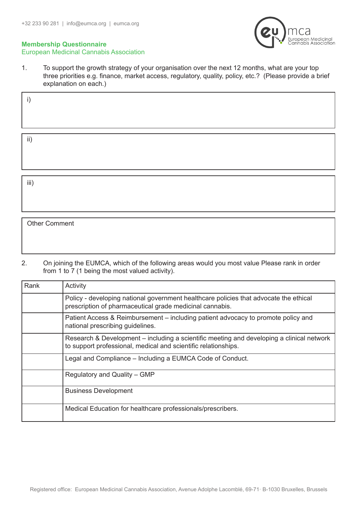

## **Membership Questionnaire** European Medicinal Cannabis Association

1. To support the growth strategy of your organisation over the next 12 months, what are your top three priorities e.g. finance, market access, regulatory, quality, policy, etc.? (Please provide a brief explanation on each.)

| jj' |  |
|-----|--|
|     |  |

iii)

Other Comment

2. On joining the EUMCA, which of the following areas would you most value Please rank in order from 1 to 7 (1 being the most valued activity).

| Rank | Activity                                                                                                                                                    |
|------|-------------------------------------------------------------------------------------------------------------------------------------------------------------|
|      | Policy - developing national government healthcare policies that advocate the ethical<br>prescription of pharmaceutical grade medicinal cannabis.           |
|      | Patient Access & Reimbursement – including patient advocacy to promote policy and<br>national prescribing guidelines.                                       |
|      | Research & Development – including a scientific meeting and developing a clinical network<br>to support professional, medical and scientific relationships. |
|      | Legal and Compliance - Including a EUMCA Code of Conduct.                                                                                                   |
|      | Regulatory and Quality – GMP                                                                                                                                |
|      | <b>Business Development</b>                                                                                                                                 |
|      | Medical Education for healthcare professionals/prescribers.                                                                                                 |